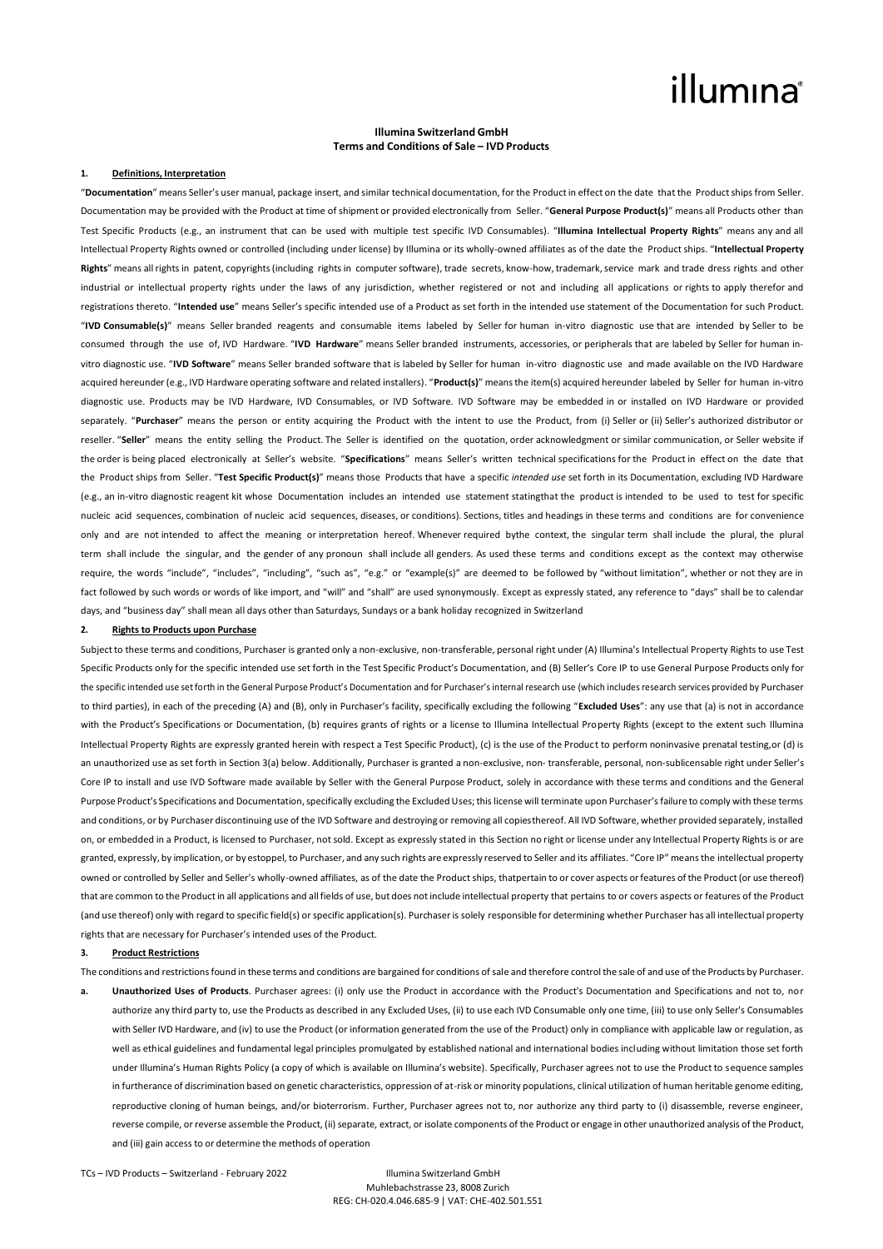### illumına

#### **Illumina Switzerland GmbH Terms and Conditions of Sale – IVD Products**

#### **1. Definitions, Interpretation**

"**Documentation**" means Seller's user manual, package insert, and similar technical documentation, for the Product in effect on the date that the Product ships from Seller. Documentation may be provided with the Product at time of shipment or provided electronically from Seller. "**General Purpose Product(s)**" means all Products other than Test Specific Products (e.g., an instrument that can be used with multiple test specific IVD Consumables). "**Illumina Intellectual Property Rights**" means any and all Intellectual Property Rights owned or controlled (including under license) by Illumina or its wholly-owned affiliates as of the date the Product ships. "**Intellectual Property Rights**" means all rights in patent, copyrights (including rights in computer software), trade secrets, know-how, trademark, service mark and trade dress rights and other industrial or intellectual property rights under the laws of any jurisdiction, whether registered or not and including all applications or rights to apply therefor and registrations thereto. "**Intended use**" means Seller's specific intended use of a Product as set forth in the intended use statement of the Documentation for such Product. "**IVD Consumable(s)**" means Seller branded reagents and consumable items labeled by Seller for human in-vitro diagnostic use that are intended by Seller to be consumed through the use of, IVD Hardware. "**IVD Hardware**" means Seller branded instruments, accessories, or peripherals that are labeled by Seller for human invitro diagnostic use. "**IVD Software**" means Seller branded software that is labeled by Seller for human in-vitro diagnostic use and made available on the IVD Hardware acquired hereunder (e.g., IVD Hardware operating software and related installers). "**Product(s)**" means the item(s) acquired hereunder labeled by Seller for human in-vitro diagnostic use. Products may be IVD Hardware, IVD Consumables, or IVD Software. IVD Software may be embedded in or installed on IVD Hardware or provided separately. "Purchaser" means the person or entity acquiring the Product with the intent to use the Product, from (i) Seller or (ii) Seller's authorized distributor or reseller. "**Seller**" means the entity selling the Product. The Seller is identified on the quotation, order acknowledgment or similar communication, or Seller website if the order is being placed electronically at Seller's website. "**Specifications**" means Seller's written technical specifications for the Product in effect on the date that the Product ships from Seller. "**Test Specific Product(s)**" means those Products that have a specific *intended use* set forth in its Documentation, excluding IVD Hardware (e.g., an in-vitro diagnostic reagent kit whose Documentation includes an intended use statement statingthat the product is intended to be used to test for specific nucleic acid sequences, combination of nucleic acid sequences, diseases, or conditions). Sections, titles and headings in these terms and conditions are for convenience only and are not intended to affect the meaning or interpretation hereof. Whenever required bythe context, the singular term shall include the plural, the plural term shall include the singular, and the gender of any pronoun shall include all genders. As used these terms and conditions except as the context may otherwise require, the words "include", "includes", "including", "such as", "e.g." or "example(s)" are deemed to be followed by "without limitation", whether or not they are in fact followed by such words or words of like import, and "will" and "shall" are used synonymously. Except as expressly stated, any reference to "days" shall be to calendar days, and "business day" shall mean all days other than Saturdays, Sundays or a bank holiday recognized in Switzerland

### **2. Rights to Products upon Purchase**

Subject to these terms and conditions, Purchaser is granted only a non-exclusive, non-transferable, personal right under (A) Illumina's Intellectual Property Rights to use Test Specific Products only for the specific intended use set forth in the Test Specific Product's Documentation, and (B) Seller's Core IP to use General Purpose Products only for the specific intended use set forth in the General Purpose Product's Documentation and for Purchaser's internal research use (which includes research services provided by Purchaser to third parties), in each of the preceding (A) and (B), only in Purchaser's facility, specifically excluding the following "**Excluded Uses**": any use that (a) is not in accordance with the Product's Specifications or Documentation, (b) requires grants of rights or a license to Illumina Intellectual Property Rights (except to the extent such Illumina Intellectual Property Rights are expressly granted herein with respect a Test Specific Product), (c) is the use of the Product to perform noninvasive prenatal testing,or (d) is an unauthorized use as set forth in Section 3(a) below. Additionally, Purchaser is granted a non-exclusive, non- transferable, personal, non-sublicensable right under Seller's Core IP to install and use IVD Software made available by Seller with the General Purpose Product, solely in accordance with these terms and conditions and the General Purpose Product's Specifications and Documentation, specifically excluding the Excluded Uses; this license will terminate upon Purchaser's failure to comply with these terms and conditions, or by Purchaser discontinuing use of the IVD Software and destroying or removing all copies thereof. All IVD Software, whether provided separately, installed on, or embedded in a Product, is licensed to Purchaser, not sold. Except as expressly stated in this Section no right or license under any Intellectual Property Rights is or are granted, expressly, by implication, or by estoppel, to Purchaser, and any such rights are expressly reserved to Seller and its affiliates. "Core IP" means the intellectual property owned or controlled by Seller and Seller's wholly-owned affiliates, as of the date the Product ships, thatpertain to or cover aspects orfeatures ofthe Product (or use thereof) that are common to the Product in all applications and all fields of use, but does notinclude intellectual property that pertains to or covers aspects or features of the Product (and use thereof) only with regard to specific field(s) or specific application(s). Purchaser is solely responsible for determining whether Purchaser has all intellectual property rights that are necessary for Purchaser's intended uses of the Product.

#### **3. Product Restrictions**

The conditions and restrictions found in these terms and conditions are bargained for conditions of sale and therefore control the sale of and use of the Products by Purchaser.

**a. Unauthorized Uses of Products**. Purchaser agrees: (i) only use the Product in accordance with the Product's Documentation and Specifications and not to, nor authorize any third party to, use the Products as described in any Excluded Uses, (ii) to use each IVD Consumable only one time, (iii) to use only Seller's Consumables with Seller IVD Hardware, and (iv) to use the Product (or information generated from the use of the Product) only in compliance with applicable law or regulation, as well as ethical guidelines and fundamental legal principles promulgated by established national and international bodies including without limitation those set forth under Illumina's Human Rights Policy (a copy of which is available on Illumina's website). Specifically, Purchaser agrees not to use the Product to sequence samples in furtherance of discrimination based on genetic characteristics, oppression of at-risk or minority populations, clinical utilization of human heritable genome editing, reproductive cloning of human beings, and/or bioterrorism. Further, Purchaser agrees not to, nor authorize any third party to (i) disassemble, reverse engineer, reverse compile, or reverse assemble the Product, (ii) separate, extract, or isolate components of the Product or engage in other unauthorized analysis of the Product, and (iii) gain access to or determine the methods of operation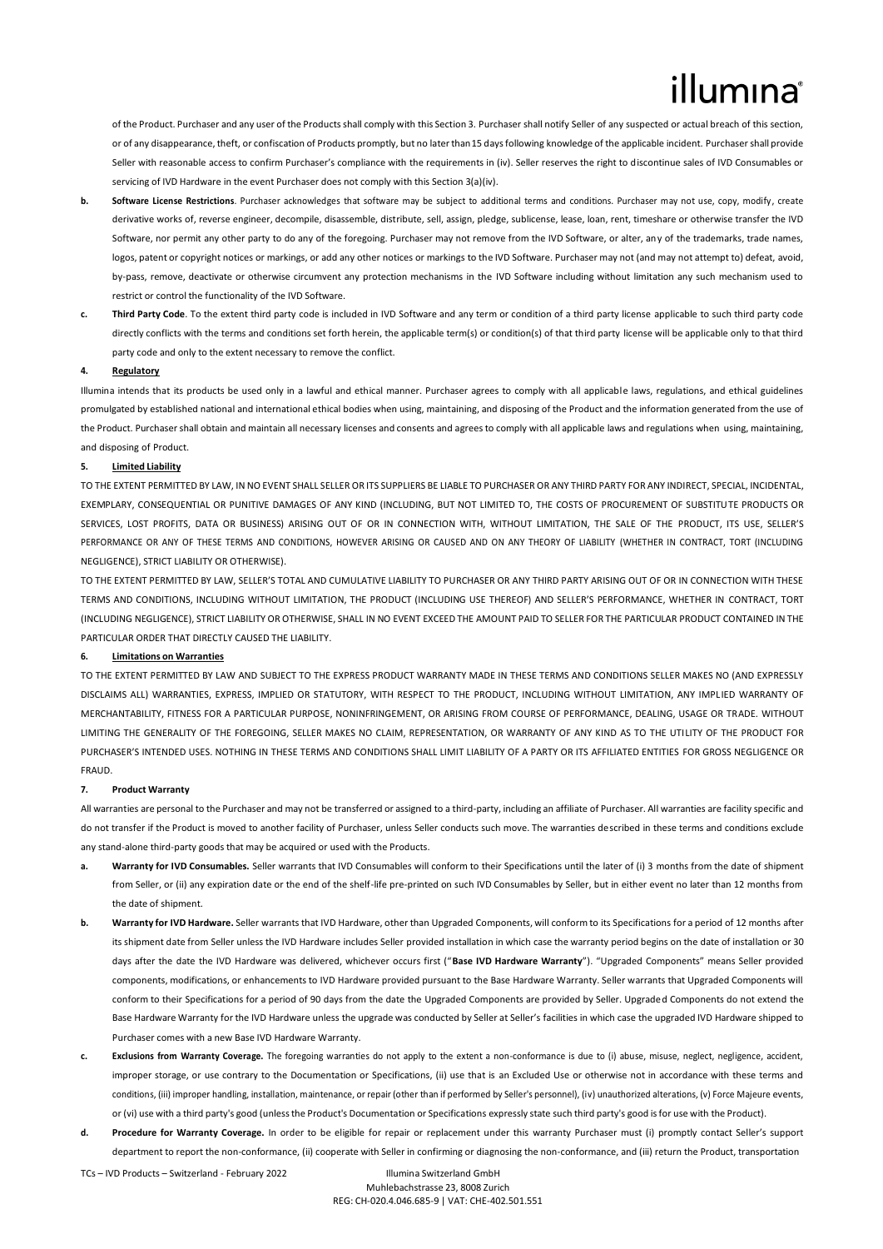## llumına

of the Product. Purchaser and any user of the Productsshall comply with this Section 3. Purchaser shall notify Seller of any suspected or actual breach of this section, or of any disappearance, theft, or confiscation of Products promptly, but no later than15 days following knowledge of the applicable incident. Purchaser shall provide Seller with reasonable access to confirm Purchaser's compliance with the requirements in (iv). Seller reserves the right to discontinue sales of IVD Consumables or servicing of IVD Hardware in the event Purchaser does not comply with this Section 3(a)(iv).

- **b.** Software License Restrictions. Purchaser acknowledges that software may be subject to additional terms and conditions. Purchaser may not use, copy, modify, create derivative works of, reverse engineer, decompile, disassemble, distribute, sell, assign, pledge, sublicense, lease, loan, rent, timeshare or otherwise transfer the IVD Software, nor permit any other party to do any of the foregoing. Purchaser may not remove from the IVD Software, or alter, any of the trademarks, trade names, logos, patent or copyright notices or markings, or add any other notices or markings to the IVD Software. Purchaser may not (and may not attempt to) defeat, avoid, by-pass, remove, deactivate or otherwise circumvent any protection mechanisms in the IVD Software including without limitation any such mechanism used to restrict or control the functionality of the IVD Software.
- **c. Third Party Code**. To the extent third party code is included in IVD Software and any term or condition of a third party license applicable to such third party code directly conflicts with the terms and conditions set forth herein, the applicable term(s) or condition(s) of that third party license will be applicable only to that third party code and only to the extent necessary to remove the conflict.

#### **4. Regulatory**

Illumina intends that its products be used only in a lawful and ethical manner. Purchaser agrees to comply with all applicable laws, regulations, and ethical guidelines promulgated by established national and international ethical bodies when using, maintaining, and disposing of the Product and the information generated from the use of the Product. Purchaser shall obtain and maintain all necessary licenses and consents and agreesto comply with all applicable laws and regulations when using, maintaining, and disposing of Product.

#### **5. Limited Liability**

TO THE EXTENT PERMITTED BY LAW, IN NO EVENT SHALL SELLER OR ITS SUPPLIERS BE LIABLE TO PURCHASER OR ANY THIRD PARTY FOR ANY INDIRECT, SPECIAL, INCIDENTAL, EXEMPLARY, CONSEQUENTIAL OR PUNITIVE DAMAGES OF ANY KIND (INCLUDING, BUT NOT LIMITED TO, THE COSTS OF PROCUREMENT OF SUBSTITUTE PRODUCTS OR SERVICES, LOST PROFITS, DATA OR BUSINESS) ARISING OUT OF OR IN CONNECTION WITH, WITHOUT LIMITATION, THE SALE OF THE PRODUCT, ITS USE, SELLER'S PERFORMANCE OR ANY OF THESE TERMS AND CONDITIONS, HOWEVER ARISING OR CAUSED AND ON ANY THEORY OF LIABILITY (WHETHER IN CONTRACT, TORT (INCLUDING NEGLIGENCE), STRICT LIABILITY OR OTHERWISE).

TO THE EXTENT PERMITTED BY LAW, SELLER'S TOTAL AND CUMULATIVE LIABILITY TO PURCHASER OR ANY THIRD PARTY ARISING OUT OF OR IN CONNECTION WITH THESE TERMS AND CONDITIONS, INCLUDING WITHOUT LIMITATION, THE PRODUCT (INCLUDING USE THEREOF) AND SELLER'S PERFORMANCE, WHETHER IN CONTRACT, TORT (INCLUDING NEGLIGENCE), STRICT LIABILITY OR OTHERWISE, SHALL IN NO EVENT EXCEED THE AMOUNT PAID TO SELLER FOR THE PARTICULAR PRODUCT CONTAINED IN THE PARTICULAR ORDER THAT DIRECTLY CAUSED THE LIABILITY.

#### **6. Limitations on Warranties**

TO THE EXTENT PERMITTED BY LAW AND SUBJECT TO THE EXPRESS PRODUCT WARRANTY MADE IN THESE TERMS AND CONDITIONS SELLER MAKES NO (AND EXPRESSLY DISCLAIMS ALL) WARRANTIES, EXPRESS, IMPLIED OR STATUTORY, WITH RESPECT TO THE PRODUCT, INCLUDING WITHOUT LIMITATION, ANY IMPLIED WARRANTY OF MERCHANTABILITY, FITNESS FOR A PARTICULAR PURPOSE, NONINFRINGEMENT, OR ARISING FROM COURSE OF PERFORMANCE, DEALING, USAGE OR TRADE, WITHOUT LIMITING THE GENERALITY OF THE FOREGOING, SELLER MAKES NO CLAIM, REPRESENTATION, OR WARRANTY OF ANY KIND AS TO THE UTILITY OF THE PRODUCT FOR PURCHASER'S INTENDED USES. NOTHING IN THESE TERMS AND CONDITIONS SHALL LIMIT LIABILITY OF A PARTY OR ITS AFFILIATED ENTITIES FOR GROSS NEGLIGENCE OR FRAUD.

#### **7. Product Warranty**

All warranties are personal to the Purchaser and may not be transferred or assigned to a third-party, including an affiliate of Purchaser. All warranties are facility specific and do not transfer if the Product is moved to another facility of Purchaser, unless Seller conducts such move. The warranties described in these terms and conditions exclude any stand-alone third-party goods that may be acquired or used with the Products.

- a. Warranty for IVD Consumables. Seller warrants that IVD Consumables will conform to their Specifications until the later of (i) 3 months from the date of shipment from Seller, or (ii) any expiration date or the end of the shelf-life pre-printed on such IVD Consumables by Seller, but in either event no later than 12 months from the date of shipment.
- **b. Warranty for IVD Hardware.** Seller warrants that IVD Hardware, other than Upgraded Components, will conform to its Specifications for a period of 12 months after its shipment date from Seller unless the IVD Hardware includes Seller provided installation in which case the warranty period begins on the date of installation or 30 days after the date the IVD Hardware was delivered, whichever occurs first ("**Base IVD Hardware Warranty**"). "Upgraded Components" means Seller provided components, modifications, or enhancements to IVD Hardware provided pursuant to the Base Hardware Warranty. Seller warrants that Upgraded Components will conform to their Specifications for a period of 90 days from the date the Upgraded Components are provided by Seller. Upgraded Components do not extend the Base Hardware Warranty for the IVD Hardware unless the upgrade was conducted by Seller at Seller's facilities in which case the upgraded IVD Hardware shipped to Purchaser comes with a new Base IVD Hardware Warranty.
- **c. Exclusions from Warranty Coverage.** The foregoing warranties do not apply to the extent a non-conformance is due to (i) abuse, misuse, neglect, negligence, accident, improper storage, or use contrary to the Documentation or Specifications, (ii) use that is an Excluded Use or otherwise not in accordance with these terms and conditions, (iii) improper handling, installation, maintenance, or repair (other than if performed by Seller's personnel), (iv) unauthorized alterations, (v) Force Majeure events, or (vi) use with a third party's good (unlessthe Product's Documentation or Specifications expressly state such third party's good isfor use with the Product).
- **d. Procedure for Warranty Coverage.** In order to be eligible for repair or replacement under this warranty Purchaser must (i) promptly contact Seller's support department to report the non-conformance, (ii) cooperate with Seller in confirming or diagnosing the non-conformance, and (iii) return the Product, transportation

TCs – IVD Products – Switzerland - February 2022 Illumina Switzerland GmbH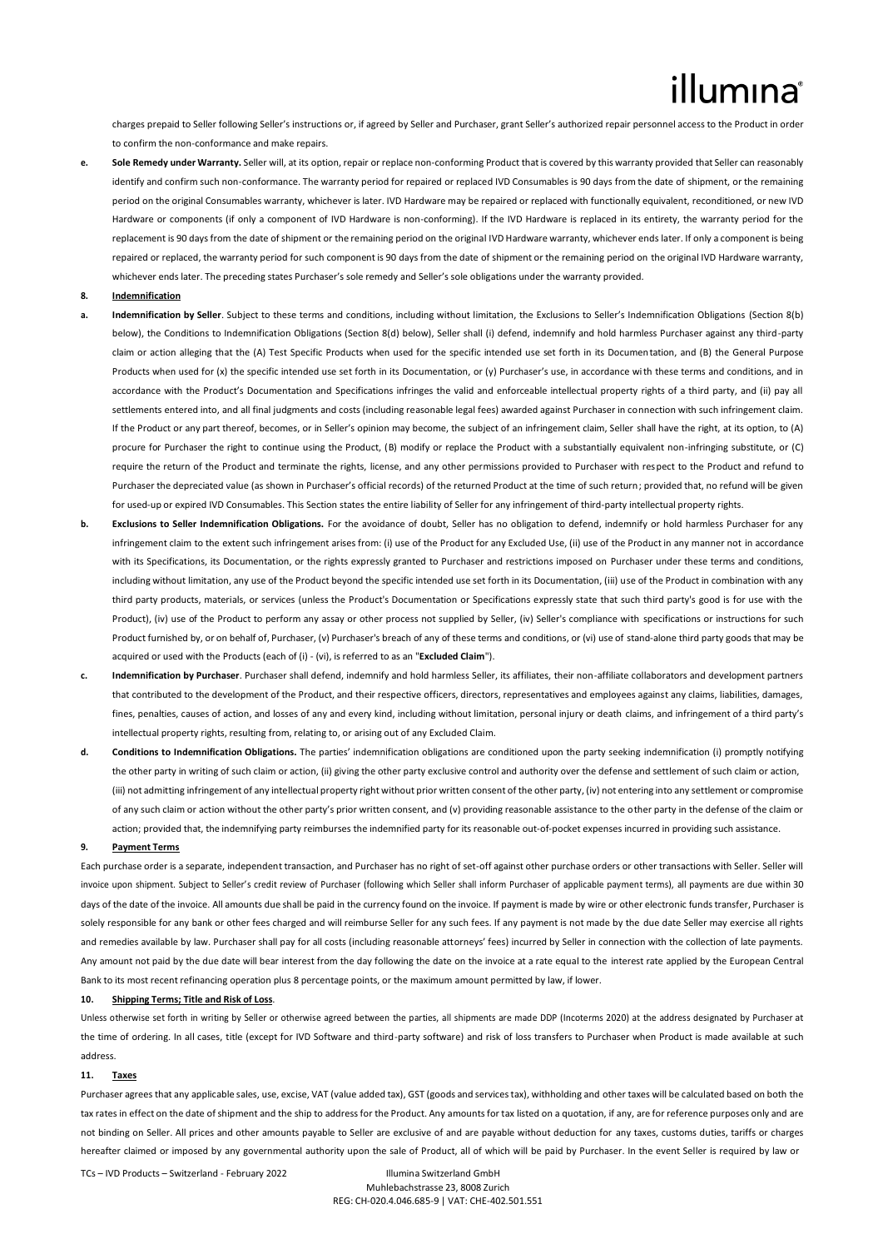# illumina

charges prepaid to Seller following Seller's instructions or, if agreed by Seller and Purchaser, grant Seller's authorized repair personnel access to the Product in order to confirm the non-conformance and make repairs.

e. Sole Remedy under Warranty. Seller will, at its option, repair or replace non-conforming Product that is covered by this warranty provided that Seller can reasonably identify and confirm such non-conformance. The warranty period for repaired or replaced IVD Consumables is 90 days from the date of shipment, or the remaining period on the original Consumables warranty, whichever is later. IVD Hardware may be repaired or replaced with functionally equivalent, reconditioned, or new IVD Hardware or components (if only a component of IVD Hardware is non-conforming). If the IVD Hardware is replaced in its entirety, the warranty period for the replacement is 90 daysfrom the date ofshipment or the remaining period on the original IVD Hardware warranty, whichever ends later. If only a component is being repaired or replaced, the warranty period for such component is 90 days from the date of shipment or the remaining period on the original IVD Hardware warranty, whichever ends later. The preceding states Purchaser's sole remedy and Seller's sole obligations under the warranty provided.

#### **8. Indemnification**

- **a. Indemnification by Seller**. Subject to these terms and conditions, including without limitation, the Exclusions to Seller's Indemnification Obligations (Section 8(b) below), the Conditions to Indemnification Obligations (Section 8(d) below), Seller shall (i) defend, indemnify and hold harmless Purchaser against any third-party claim or action alleging that the (A) Test Specific Products when used for the specific intended use set forth in its Documentation, and (B) the General Purpose Products when used for (x) the specific intended use set forth in its Documentation, or (y) Purchaser's use, in accordance with these terms and conditions, and in accordance with the Product's Documentation and Specifications infringes the valid and enforceable intellectual property rights of a third party, and (ii) pay all settlements entered into, and all final judgments and costs (including reasonable legal fees) awarded against Purchaser in connection with such infringement claim. If the Product or any part thereof, becomes, or in Seller's opinion may become, the subject of an infringement claim, Seller shall have the right, at its option, to (A) procure for Purchaser the right to continue using the Product, (B) modify or replace the Product with a substantially equivalent non-infringing substitute, or (C) require the return of the Product and terminate the rights, license, and any other permissions provided to Purchaser with respect to the Product and refund to Purchaser the depreciated value (as shown in Purchaser's official records) of the returned Product at the time of such return; provided that, no refund will be given for used-up or expired IVD Consumables. This Section states the entire liability of Seller for any infringement of third-party intellectual property rights.
- **b. Exclusions to Seller Indemnification Obligations.** For the avoidance of doubt, Seller has no obligation to defend, indemnify or hold harmless Purchaser for any infringement claim to the extent such infringement arises from: (i) use of the Product for any Excluded Use, (ii) use of the Product in any manner not in accordance with its Specifications, its Documentation, or the rights expressly granted to Purchaser and restrictions imposed on Purchaser under these terms and conditions. including without limitation, any use of the Product beyond the specific intended use set forth in its Documentation, (iii) use of the Product in combination with any third party products, materials, or services (unless the Product's Documentation or Specifications expressly state that such third party's good is for use with the Product), (iv) use of the Product to perform any assay or other process not supplied by Seller, (iv) Seller's compliance with specifications or instructions for such Product furnished by, or on behalf of, Purchaser, (v) Purchaser's breach of any of these terms and conditions, or (vi) use of stand-alone third party goods that may be acquired or used with the Products (each of (i) - (vi), is referred to as an "**Excluded Claim**").
- **c. Indemnification by Purchaser**. Purchaser shall defend, indemnify and hold harmless Seller, its affiliates, their non-affiliate collaborators and development partners that contributed to the development of the Product, and their respective officers, directors, representatives and employees against any claims, liabilities, damages, fines, penalties, causes of action, and losses of any and every kind, including without limitation, personal injury or death claims, and infringement of a third party's intellectual property rights, resulting from, relating to, or arising out of any Excluded Claim.
- **d. Conditions to Indemnification Obligations.** The parties' indemnification obligations are conditioned upon the party seeking indemnification (i) promptly notifying the other party in writing of such claim or action, (ii) giving the other party exclusive control and authority over the defense and settlement of such claim or action, (iii) not admitting infringement of any intellectual property right without prior written consent of the other party, (iv) not entering into any settlement or compromise of any such claim or action without the other party's prior written consent, and (v) providing reasonable assistance to the other party in the defense of the claim or action; provided that, the indemnifying party reimburses the indemnified party for its reasonable out-of-pocket expenses incurred in providing such assistance.

#### **9. Payment Terms**

Each purchase order is a separate, independent transaction, and Purchaser has no right of set-off against other purchase orders or other transactions with Seller. Seller will invoice upon shipment. Subject to Seller's credit review of Purchaser (following which Seller shall inform Purchaser of applicable payment terms), all payments are due within 30 days of the date of the invoice. All amounts due shall be paid in the currency found on the invoice. If payment is made by wire or other electronic funds transfer, Purchaser is solely responsible for any bank or other fees charged and will reimburse Seller for any such fees. If any payment is not made by the due date Seller may exercise all rights and remedies available by law. Purchaser shall pay for all costs (including reasonable attorneys' fees) incurred by Seller in connection with the collection of late payments. Any amount not paid by the due date will bear interest from the day following the date on the invoice at a rate equal to the interest rate applied by the European Central Bank to its most recent refinancing operation plus 8 percentage points, or the maximum amount permitted by law, if lower.

### **10. Shipping Terms; Title and Risk of Loss**.

Unless otherwise set forth in writing by Seller or otherwise agreed between the parties, all shipments are made DDP (Incoterms 2020) at the address designated by Purchaser at the time of ordering. In all cases, title (except for IVD Software and third-party software) and risk of loss transfers to Purchaser when Product is made available at such address.

#### **11. Taxes**

Purchaser agrees that any applicable sales, use, excise, VAT (value added tax), GST (goods and services tax), withholding and other taxes will be calculated based on both the tax rates in effect on the date of shipment and the ship to address for the Product. Any amounts for tax listed on a quotation, if any, are for reference purposes only and are not binding on Seller. All prices and other amounts payable to Seller are exclusive of and are payable without deduction for any taxes, customs duties, tariffs or charges hereafter claimed or imposed by any governmental authority upon the sale of Product, all of which will be paid by Purchaser. In the event Seller is required by law or

TCs – IVD Products – Switzerland - February 2022 Illumina Switzerland GmbH

Muhlebachstrasse 23, 8008 Zurich REG: CH-020.4.046.685-9 | VAT: CHE-402.501.551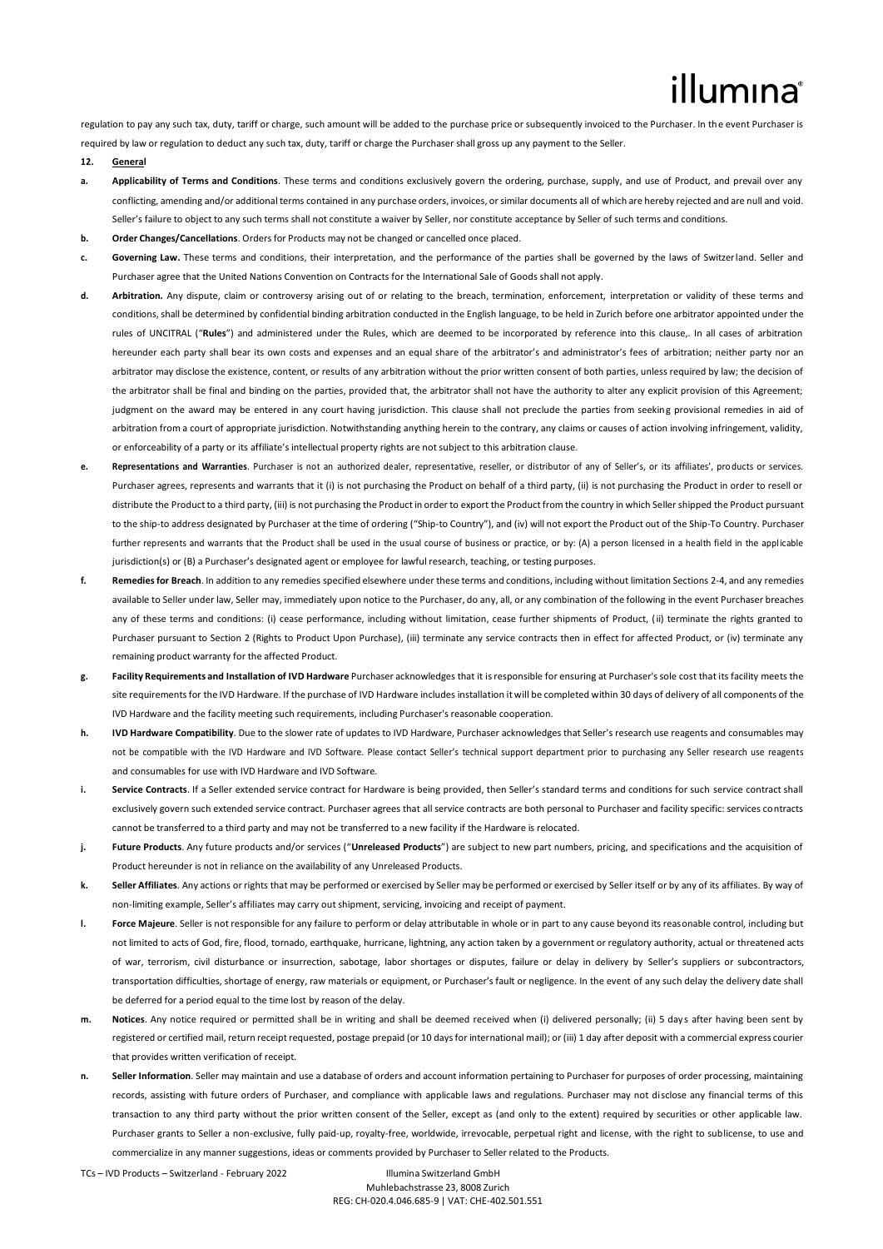## illumina

regulation to pay any such tax, duty, tariff or charge, such amount will be added to the purchase price or subsequently invoiced to the Purchaser. In the event Purchaser is required by law or regulation to deduct any such tax, duty, tariff or charge the Purchaser shall gross up any payment to the Seller.

#### **12. General**

- **a. Applicability of Terms and Conditions**. These terms and conditions exclusively govern the ordering, purchase, supply, and use of Product, and prevail over any conflicting, amending and/or additional terms contained in any purchase orders, invoices, or similar documents all of which are hereby rejected and are null and void. Seller's failure to object to any such terms shall not constitute a waiver by Seller, nor constitute acceptance by Seller of such terms and conditions.
- **b. Order Changes/Cancellations**. Orders for Products may not be changed or cancelled once placed.
- **c. Governing Law.** These terms and conditions, their interpretation, and the performance of the parties shall be governed by the laws of Switzerland. Seller and Purchaser agree that the United Nations Convention on Contracts for the International Sale of Goods shall not apply.
- **d. Arbitration.** Any dispute, claim or controversy arising out of or relating to the breach, termination, enforcement, interpretation or validity of these terms and conditions, shall be determined by confidential binding arbitration conducted in the English language, to be held in Zurich before one arbitrator appointed under the rules of UNCITRAL ("**Rules**") and administered under the Rules, which are deemed to be incorporated by reference into this clause,. In all cases of arbitration hereunder each party shall bear its own costs and expenses and an equal share of the arbitrator's and administrator's fees of arbitration; neither party nor an arbitrator may disclose the existence, content, or results of any arbitration without the prior written consent of both parties, unless required by law; the decision of the arbitrator shall be final and binding on the parties, provided that, the arbitrator shall not have the authority to alter any explicit provision of this Agreement; judgment on the award may be entered in any court having jurisdiction. This clause shall not preclude the parties from seeking provisional remedies in aid of arbitration from a court of appropriate jurisdiction. Notwithstanding anything herein to the contrary, any claims or causes of action involving infringement, validity, or enforceability of a party or its affiliate's intellectual property rights are not subject to this arbitration clause.
- **e. Representations and Warranties**. Purchaser is not an authorized dealer, representative, reseller, or distributor of any of Seller's, or its affiliates', products or services. Purchaser agrees, represents and warrants that it (i) is not purchasing the Product on behalf of a third party, (ii) is not purchasing the Product in order to resell or distribute the Product to a third party, (iii) is not purchasing the Product in order to export the Product from the country in which Seller shipped the Product pursuant to the ship-to address designated by Purchaser at the time of ordering ("Ship-to Country"), and (iv) will not export the Product out of the Ship-To Country. Purchaser further represents and warrants that the Product shall be used in the usual course of business or practice, or by: (A) a person licensed in a health field in the applicable jurisdiction(s) or (B) a Purchaser's designated agent or employee for lawful research, teaching, or testing purposes.
- **f. Remediesfor Breach**. In addition to any remedies specified elsewhere under these terms and conditions, including without limitation Sections 2-4, and any remedies available to Seller under law, Seller may, immediately upon notice to the Purchaser, do any, all, or any combination of the following in the event Purchaser breaches any of these terms and conditions: (i) cease performance, including without limitation, cease further shipments of Product, (ii) terminate the rights granted to Purchaser pursuant to Section 2 (Rights to Product Upon Purchase), (iii) terminate any service contracts then in effect for affected Product, or (iv) terminate any remaining product warranty for the affected Product.
- **g. Facility Requirements and Installation of IVD Hardware** Purchaser acknowledges that it isresponsible for ensuring at Purchaser'ssole cost that its facility meets the site requirements for the IVD Hardware. If the purchase of IVD Hardware includes installation it will be completed within 30 days of delivery of all components of the IVD Hardware and the facility meeting such requirements, including Purchaser's reasonable cooperation.
- **h. IVD Hardware Compatibility**. Due to the slower rate of updates to IVD Hardware, Purchaser acknowledges that Seller's research use reagents and consumables may not be compatible with the IVD Hardware and IVD Software. Please contact Seller's technical support department prior to purchasing any Seller research use reagents and consumables for use with IVD Hardware and IVD Software.
- **i.** Service Contracts. If a Seller extended service contract for Hardware is being provided, then Seller's standard terms and conditions for such service contract shall exclusively govern such extended service contract. Purchaser agrees that all service contracts are both personal to Purchaser and facility specific: services contracts cannot be transferred to a third party and may not be transferred to a new facility if the Hardware is relocated.
- **j. Future Products**. Any future products and/or services ("**Unreleased Products**") are subject to new part numbers, pricing, and specifications and the acquisition of Product hereunder is not in reliance on the availability of any Unreleased Products.
- **k. Seller Affiliates**. Any actions or rights that may be performed or exercised by Seller may be performed or exercised by Seller itself or by any of its affiliates. By way of non-limiting example, Seller's affiliates may carry out shipment, servicing, invoicing and receipt of payment.
- **l. Force Majeure**. Seller is not responsible for any failure to perform or delay attributable in whole or in part to any cause beyond its reasonable control, including but not limited to acts of God, fire, flood, tornado, earthquake, hurricane, lightning, any action taken by a government or regulatory authority, actual or threatened acts of war, terrorism, civil disturbance or insurrection, sabotage, labor shortages or disputes, failure or delay in delivery by Seller's suppliers or subcontractors, transportation difficulties, shortage of energy, raw materials or equipment, or Purchaser's fault or negligence. In the event of any such delay the delivery date shall be deferred for a period equal to the time lost by reason of the delay.
- **m. Notices**. Any notice required or permitted shall be in writing and shall be deemed received when (i) delivered personally; (ii) 5 day s after having been sent by registered or certified mail, return receipt requested, postage prepaid (or 10 days for international mail); or (iii) 1 day after deposit with a commercial express courier that provides written verification of receipt.
- **n. Seller Information**. Seller may maintain and use a database of orders and account information pertaining to Purchaser for purposes of order processing, maintaining records, assisting with future orders of Purchaser, and compliance with applicable laws and regulations. Purchaser may not disclose any financial terms of this transaction to any third party without the prior written consent of the Seller, except as (and only to the extent) required by securities or other applicable law. Purchaser grants to Seller a non-exclusive, fully paid-up, royalty-free, worldwide, irrevocable, perpetual right and license, with the right to sublicense, to use and commercialize in any manner suggestions, ideas or comments provided by Purchaser to Seller related to the Products.

TCs – IVD Products – Switzerland - February 2022 Illumina Switzerland GmbH